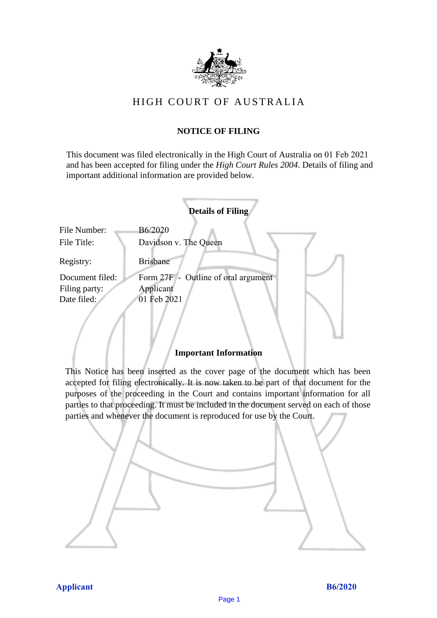

# HIGH COURT OF AU STRALIA HIGH COURT OF AUSTRALIA

## **NOTICE OF FILING** NOTICE OF FILING

This document was filed electronically in the High Court of Australia on 01 Feb 2021 and has been accepted for filing under the *High Court Rules 2004*. Details of filing and important additional information are provided below. important additional information are provided below.

|                 | <b>Details of Filing</b>            |
|-----------------|-------------------------------------|
| File Number:    | B6/2020                             |
| File Title:     | Davidson v. The Queen               |
| Registry:       | <b>Brisbane</b>                     |
| Document filed: | Form 27F - Outline of oral argument |
| Filing party:   | Applicant                           |
| Date filed:     | 01 Feb 2021                         |
|                 |                                     |

## **Important Information** Important Information

This Notice has been inserted as the cover page of the document which has been accepted for filing electronically. It is now taken to be part of that document for the purposes of the proceeding in the Court and contains important information for all parties to that proceeding. It must be included in the document served on each of those parties and whenever the document is reproduced for use by the Court. parties and whenever the document is reproduced for use by the Court

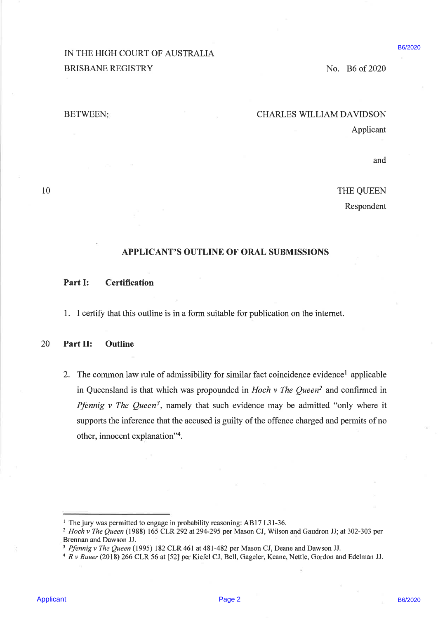B6/2020

#### BETWEEN: CHARLES WILLIAM DAVIDSON

Applicant

and

10 THE QUEEN

Respondent

## APPLICANT'S OUTLINE OF ORAL SUBMISSIONS

Part I: Certification

1. <sup>I</sup> certify that this outline is in a form suitable for publication on the internet.

### 20 Part II: Outline

IN THE HIGH COURT OF AUSTRALIA<br>
BRISBANE REGISTRY<br>
BRISBANE REGISTRY<br>
HETWEIN:<br>
HETWEIN:<br>
THE QUEEN<br>
Applicant<br>
APPLICANT'S OUTLINE OF ORAL SUBMISSIONS<br>
Applicant<br>
APPLICANT'S OUTLINE OF ORAL SUBMISSIONS<br>
Part II: Outline 2. The common law rule of admissibility for similar fact coincidence evidence<sup>1</sup> applicable in Queensland is that which was propounded in Hoch  $\nu$  The Queen<sup>2</sup> and confirmed in *Pfennig v The Queen*<sup>3</sup>, namely that such evidence may be admitted "only where it supports the inference that the accused is guilty of the offence charged and permits of no other, innocent explanation"'.

<sup>&</sup>lt;sup>1</sup> The jury was permitted to engage in probability reasoning: AB17 L31-36.

 $2$  Hoch v The Queen (1988) 165 CLR 292 at 294-295 per Mason CJ, Wilson and Gaudron JJ; at 302-303 per Brennan and Dawson JJ.

<sup>&</sup>lt;sup>3</sup> Pfennig v The Queen (1995) 182 CLR 461 at 481-482 per Mason CJ, Deane and Dawson JJ.

<sup>4</sup> Rv Bauer (2018) 266 CLR 56 at [52] per Kiefel CJ, Bell, Gageler, Keane, Nettle, Gordon and Edelman JJ.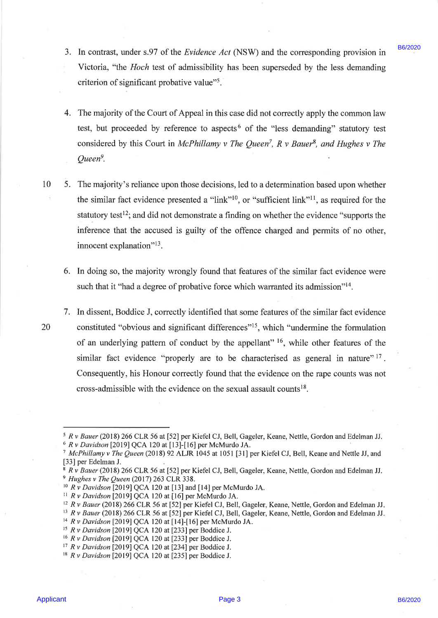- 3. In contrast, under s.97 of the *Evidence Act* (NSW) and the corresponding provision in  $\frac{B6}{2020}$ Victoria, "the Hoch test of admissibility has been superseded by the less demanding criterion of significant probative value"<sup>5</sup>.
- 4. The majority of the Court of Appeal in this case did not correctly apply the common law test, but proceeded by reference to aspects<sup>6</sup> of the "less demanding" statutory test considered by this Court in McPhillamy v The Queen<sup>7</sup>, R v Bauer<sup>8</sup>, and Hughes v The Queen".
- 10 5. The majority's reliance upon those decisions, led to a determination based upon whether the similar fact evidence presented a "link"<sup>10</sup>, or "sufficient link"<sup>11</sup>, as required for the statutory test<sup>12</sup>; and did not demonstrate a finding on whether the evidence "supports the inference that the accused is guilty of the offence charged and permits of no other, innocent explanation"<sup>13</sup>.
	- 6. In doing so, the majority wrongly found that features of the similar fact evidence were such that it "had a degree of probative force which warranted its admission"<sup>14</sup>.
- 3. In ceature, under a 97 of the *Fraidrese Act* (NSW) and the corresponding provision in 1980/s.<br>
Victoria, "the *Hock* text of Aspasiality be been superseded by the lead of the corresponding<br>
certiceion of significant p 7. In dissent, Boddice J, correctly identified that some features of the similar fact evidence 20 constituted "obvious and significant differences"<sup>15</sup>, which "undermine the formulation of an underlying pattern of conduct by the appellant"  $16$ , while other features of the similar fact evidence "properly are to be characterised as general in nature"  $17$ . Consequently, his Honour correctly found that the evidence on the rape counts was not cross-admissible with the evidence on the sexual assault counts!®.

<sup>14</sup> R v Davidson [2019] QCA 120 at [14]-[16] per McMurdo JA.

<sup>&</sup>gt; Rv Bauer (2018) 266 CLR 56 at [52] per Kiefel CJ, Bell, Gageler, Keane, Nettle, Gordon and Edelman JJ.

 $6$  R v Davidson [2019] QCA 120 at [13]-[16] per McMurdo JA.

<sup>&</sup>lt;sup>7</sup> McPhillamy v The Queen (2018) 92 ALJR 1045 at 1051 [31] per Kiefel CJ, Bell, Keane and Nettle JJ, and [33] per Edelman J.

<sup>&</sup>lt;sup>8</sup> R v Bauer (2018) 266 CLR 56 at [52] per Kiefel CJ, Bell, Gageler, Keane, Nettle, Gordon and Edelman JJ.  $9$  Hughes v The Queen (2017) 263 CLR 338.

 $10$  R v Davidson [2019] QCA 120 at [13] and [14] per McMurdo JA.

 $11$  R v Davidson [2019] QCA 120 at [16] per McMurdo JA.

 $12$ , R v Bauer (2018) 266 CLR 56 at [52] per Kiefel CJ, Bell, Gageler, Keane, Nettle, Gordon and Edelman JJ.

<sup>&</sup>lt;sup>13</sup> R v Bauer (2018) 266 CLR 56 at [52] per Kiefel CJ, Bell, Gageler, Keane, Nettle, Gordon and Edelman JJ.

<sup>&</sup>lt;sup>15</sup> R v Davidson [2019] QCA 120 at [233] per Boddice J.

<sup>&</sup>lt;sup>16</sup> R v Davidson [2019] QCA 120 at [233] per Boddice J.

<sup>17</sup> R y Davidson [2019] QCA 120 at [234] per Boddice J.

<sup>&</sup>lt;sup>18</sup> R v Davidson [2019] QCA 120 at [235] per Boddice J.